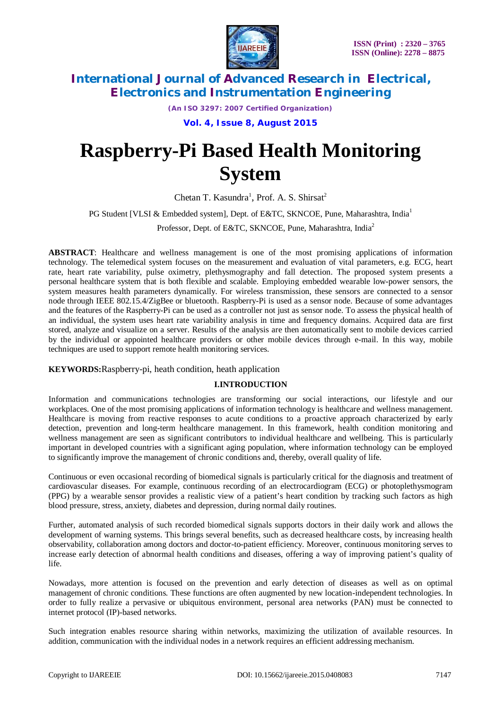

*(An ISO 3297: 2007 Certified Organization)*

**Vol. 4, Issue 8, August 2015**

# **Raspberry-Pi Based Health Monitoring System**

Chetan T. Kasundra<sup>1</sup>, Prof. A. S. Shirsat<sup>2</sup>

PG Student [VLSI & Embedded system], Dept. of E&TC, SKNCOE, Pune, Maharashtra, India<sup>1</sup>

Professor, Dept. of E&TC, SKNCOE, Pune, Maharashtra, India<sup>2</sup>

**ABSTRACT**: Healthcare and wellness management is one of the most promising applications of information technology. The telemedical system focuses on the measurement and evaluation of vital parameters, e.g. ECG, heart rate, heart rate variability, pulse oximetry, plethysmography and fall detection. The proposed system presents a personal healthcare system that is both flexible and scalable. Employing embedded wearable low-power sensors, the system measures health parameters dynamically. For wireless transmission, these sensors are connected to a sensor node through IEEE 802.15.4/ZigBee or bluetooth. Raspberry-Pi is used as a sensor node. Because of some advantages and the features of the Raspberry-Pi can be used as a controller not just as sensor node. To assess the physical health of an individual, the system uses heart rate variability analysis in time and frequency domains. Acquired data are first stored, analyze and visualize on a server. Results of the analysis are then automatically sent to mobile devices carried by the individual or appointed healthcare providers or other mobile devices through e-mail. In this way, mobile techniques are used to support remote health monitoring services.

**KEYWORDS:**Raspberry-pi, heath condition, heath application

# **I.INTRODUCTION**

Information and communications technologies are transforming our social interactions, our lifestyle and our workplaces. One of the most promising applications of information technology is healthcare and wellness management. Healthcare is moving from reactive responses to acute conditions to a proactive approach characterized by early detection, prevention and long-term healthcare management. In this framework, health condition monitoring and wellness management are seen as significant contributors to individual healthcare and wellbeing. This is particularly important in developed countries with a significant aging population, where information technology can be employed to significantly improve the management of chronic conditions and, thereby, overall quality of life.

Continuous or even occasional recording of biomedical signals is particularly critical for the diagnosis and treatment of cardiovascular diseases. For example, continuous recording of an electrocardiogram (ECG) or photoplethysmogram (PPG) by a wearable sensor provides a realistic view of a patient's heart condition by tracking such factors as high blood pressure, stress, anxiety, diabetes and depression, during normal daily routines.

Further, automated analysis of such recorded biomedical signals supports doctors in their daily work and allows the development of warning systems. This brings several benefits, such as decreased healthcare costs, by increasing health observability, collaboration among doctors and doctor-to-patient efficiency. Moreover, continuous monitoring serves to increase early detection of abnormal health conditions and diseases, offering a way of improving patient's quality of life.

Nowadays, more attention is focused on the prevention and early detection of diseases as well as on optimal management of chronic conditions. These functions are often augmented by new location-independent technologies. In order to fully realize a pervasive or ubiquitous environment, personal area networks (PAN) must be connected to internet protocol (IP)-based networks.

Such integration enables resource sharing within networks, maximizing the utilization of available resources. In addition, communication with the individual nodes in a network requires an efficient addressing mechanism.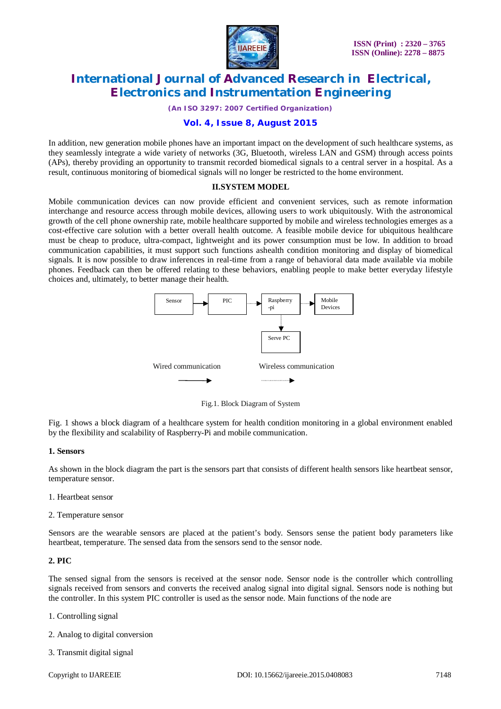

*(An ISO 3297: 2007 Certified Organization)*

# **Vol. 4, Issue 8, August 2015**

In addition, new generation mobile phones have an important impact on the development of such healthcare systems, as they seamlessly integrate a wide variety of networks (3G, Bluetooth, wireless LAN and GSM) through access points (APs), thereby providing an opportunity to transmit recorded biomedical signals to a central server in a hospital. As a result, continuous monitoring of biomedical signals will no longer be restricted to the home environment.

#### **II.SYSTEM MODEL**

Mobile communication devices can now provide efficient and convenient services, such as remote information interchange and resource access through mobile devices, allowing users to work ubiquitously. With the astronomical growth of the cell phone ownership rate, mobile healthcare supported by mobile and wireless technologies emerges as a cost-effective care solution with a better overall health outcome. A feasible mobile device for ubiquitous healthcare must be cheap to produce, ultra-compact, lightweight and its power consumption must be low. In addition to broad communication capabilities, it must support such functions ashealth condition monitoring and display of biomedical signals. It is now possible to draw inferences in real-time from a range of behavioral data made available via mobile phones. Feedback can then be offered relating to these behaviors, enabling people to make better everyday lifestyle choices and, ultimately, to better manage their health.



Fig.1. Block Diagram of System

Fig. 1 shows a block diagram of a healthcare system for health condition monitoring in a global environment enabled by the flexibility and scalability of Raspberry-Pi and mobile communication.

#### **1. Sensors**

As shown in the block diagram the part is the sensors part that consists of different health sensors like heartbeat sensor, temperature sensor.

- 1. Heartbeat sensor
- 2. Temperature sensor

Sensors are the wearable sensors are placed at the patient's body. Sensors sense the patient body parameters like heartbeat, temperature. The sensed data from the sensors send to the sensor node.

### **2. PIC**

The sensed signal from the sensors is received at the sensor node. Sensor node is the controller which controlling signals received from sensors and converts the received analog signal into digital signal. Sensors node is nothing but the controller. In this system PIC controller is used as the sensor node. Main functions of the node are

- 1. Controlling signal
- 2. Analog to digital conversion
- 3. Transmit digital signal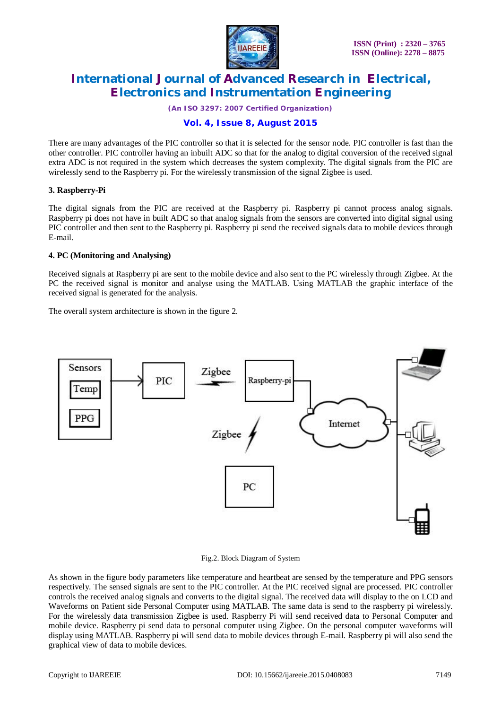

*(An ISO 3297: 2007 Certified Organization)*

# **Vol. 4, Issue 8, August 2015**

There are many advantages of the PIC controller so that it is selected for the sensor node. PIC controller is fast than the other controller. PIC controller having an inbuilt ADC so that for the analog to digital conversion of the received signal extra ADC is not required in the system which decreases the system complexity. The digital signals from the PIC are wirelessly send to the Raspberry pi. For the wirelessly transmission of the signal Zigbee is used.

### **3. Raspberry-Pi**

The digital signals from the PIC are received at the Raspberry pi. Raspberry pi cannot process analog signals. Raspberry pi does not have in built ADC so that analog signals from the sensors are converted into digital signal using PIC controller and then sent to the Raspberry pi. Raspberry pi send the received signals data to mobile devices through E-mail.

### **4. PC (Monitoring and Analysing)**

Received signals at Raspberry pi are sent to the mobile device and also sent to the PC wirelessly through Zigbee. At the PC the received signal is monitor and analyse using the MATLAB. Using MATLAB the graphic interface of the received signal is generated for the analysis.

The overall system architecture is shown in the figure 2.



#### Fig.2. Block Diagram of System

As shown in the figure body parameters like temperature and heartbeat are sensed by the temperature and PPG sensors respectively. The sensed signals are sent to the PIC controller. At the PIC received signal are processed. PIC controller controls the received analog signals and converts to the digital signal. The received data will display to the on LCD and Waveforms on Patient side Personal Computer using MATLAB. The same data is send to the raspberry pi wirelessly. For the wirelessly data transmission Zigbee is used. Raspberry Pi will send received data to Personal Computer and mobile device. Raspberry pi send data to personal computer using Zigbee. On the personal computer waveforms will display using MATLAB. Raspberry pi will send data to mobile devices through E-mail. Raspberry pi will also send the graphical view of data to mobile devices.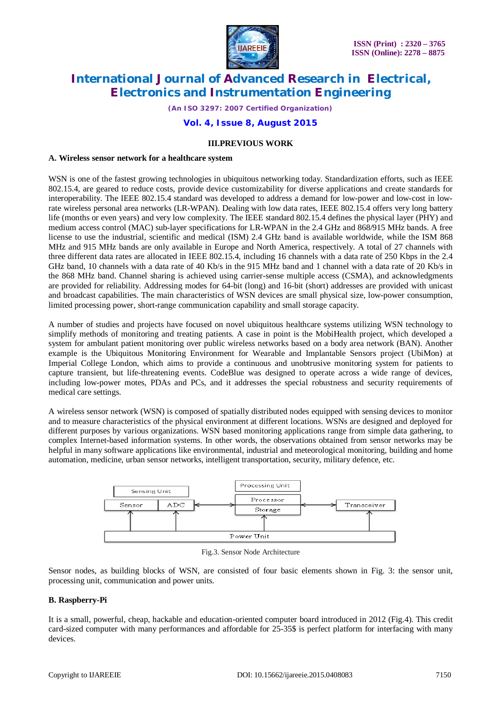

*(An ISO 3297: 2007 Certified Organization)*

### **Vol. 4, Issue 8, August 2015**

#### **III.PREVIOUS WORK**

#### **A. Wireless sensor network for a healthcare system**

WSN is one of the fastest growing technologies in ubiquitous networking today. Standardization efforts, such as IEEE 802.15.4, are geared to reduce costs, provide device customizability for diverse applications and create standards for interoperability. The IEEE 802.15.4 standard was developed to address a demand for low-power and low-cost in lowrate wireless personal area networks (LR-WPAN). Dealing with low data rates, IEEE 802.15.4 offers very long battery life (months or even years) and very low complexity. The IEEE standard 802.15.4 defines the physical layer (PHY) and medium access control (MAC) sub-layer specifications for LR-WPAN in the 2.4 GHz and 868/915 MHz bands. A free license to use the industrial, scientific and medical (ISM) 2.4 GHz band is available worldwide, while the ISM 868 MHz and 915 MHz bands are only available in Europe and North America, respectively. A total of 27 channels with three different data rates are allocated in IEEE 802.15.4, including 16 channels with a data rate of 250 Kbps in the 2.4 GHz band, 10 channels with a data rate of 40 Kb/s in the 915 MHz band and 1 channel with a data rate of 20 Kb/s in the 868 MHz band. Channel sharing is achieved using carrier-sense multiple access (CSMA), and acknowledgments are provided for reliability. Addressing modes for 64-bit (long) and 16-bit (short) addresses are provided with unicast and broadcast capabilities. The main characteristics of WSN devices are small physical size, low-power consumption, limited processing power, short-range communication capability and small storage capacity.

A number of studies and projects have focused on novel ubiquitous healthcare systems utilizing WSN technology to simplify methods of monitoring and treating patients. A case in point is the MobiHealth project, which developed a system for ambulant patient monitoring over public wireless networks based on a body area network (BAN). Another example is the Ubiquitous Monitoring Environment for Wearable and Implantable Sensors project (UbiMon) at Imperial College London, which aims to provide a continuous and unobtrusive monitoring system for patients to capture transient, but life-threatening events. CodeBlue was designed to operate across a wide range of devices, including low-power motes, PDAs and PCs, and it addresses the special robustness and security requirements of medical care settings.

A wireless sensor network (WSN) is composed of spatially distributed nodes equipped with sensing devices to monitor and to measure characteristics of the physical environment at different locations. WSNs are designed and deployed for different purposes by various organizations. WSN based monitoring applications range from simple data gathering, to complex Internet-based information systems. In other words, the observations obtained from sensor networks may be helpful in many software applications like environmental, industrial and meteorological monitoring, building and home automation, medicine, urban sensor networks, intelligent transportation, security, military defence, etc.



Fig.3. Sensor Node Architecture

Sensor nodes, as building blocks of WSN, are consisted of four basic elements shown in Fig. 3: the sensor unit, processing unit, communication and power units.

### **B. Raspberry-Pi**

It is a small, powerful, cheap, hackable and education-oriented computer board introduced in 2012 (Fig.4). This credit card-sized computer with many performances and affordable for 25-35\$ is perfect platform for interfacing with many devices.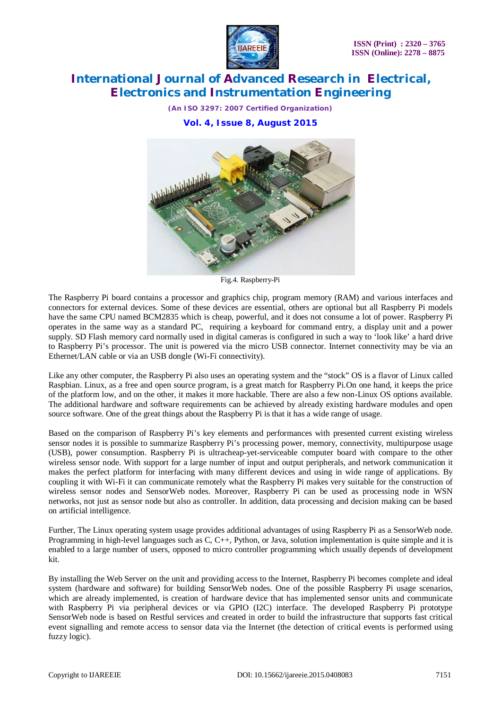

*(An ISO 3297: 2007 Certified Organization)* **Vol. 4, Issue 8, August 2015**



Fig.4. Raspberry-Pi

The Raspberry Pi board contains a processor and graphics chip, program memory (RAM) and various interfaces and connectors for external devices. Some of these devices are essential, others are optional but all Raspberry Pi models have the same CPU named BCM2835 which is cheap, powerful, and it does not consume a lot of power. Raspberry Pi operates in the same way as a standard PC, requiring a keyboard for command entry, a display unit and a power supply. SD Flash memory card normally used in digital cameras is configured in such a way to 'look like' a hard drive to Raspberry Pi's processor. The unit is powered via the micro USB connector. Internet connectivity may be via an Ethernet/LAN cable or via an USB dongle (Wi-Fi connectivity).

Like any other computer, the Raspberry Pi also uses an operating system and the "stock" OS is a flavor of Linux called Raspbian. Linux, as a free and open source program, is a great match for Raspberry Pi.On one hand, it keeps the price of the platform low, and on the other, it makes it more hackable. There are also a few non-Linux OS options available. The additional hardware and software requirements can be achieved by already existing hardware modules and open source software. One of the great things about the Raspberry Pi is that it has a wide range of usage.

Based on the comparison of Raspberry Pi's key elements and performances with presented current existing wireless sensor nodes it is possible to summarize Raspberry Pi's processing power, memory, connectivity, multipurpose usage (USB), power consumption. Raspberry Pi is ultracheap-yet-serviceable computer board with compare to the other wireless sensor node. With support for a large number of input and output peripherals, and network communication it makes the perfect platform for interfacing with many different devices and using in wide range of applications. By coupling it with Wi-Fi it can communicate remotely what the Raspberry Pi makes very suitable for the construction of wireless sensor nodes and SensorWeb nodes. Moreover, Raspberry Pi can be used as processing node in WSN networks, not just as sensor node but also as controller. In addition, data processing and decision making can be based on artificial intelligence.

Further, The Linux operating system usage provides additional advantages of using Raspberry Pi as a SensorWeb node. Programming in high-level languages such as C, C++, Python, or Java, solution implementation is quite simple and it is enabled to a large number of users, opposed to micro controller programming which usually depends of development kit.

By installing the Web Server on the unit and providing access to the Internet, Raspberry Pi becomes complete and ideal system (hardware and software) for building SensorWeb nodes. One of the possible Raspberry Pi usage scenarios, which are already implemented, is creation of hardware device that has implemented sensor units and communicate with Raspberry Pi via peripheral devices or via GPIO (I2C) interface. The developed Raspberry Pi prototype SensorWeb node is based on Restful services and created in order to build the infrastructure that supports fast critical event signalling and remote access to sensor data via the Internet (the detection of critical events is performed using fuzzy logic).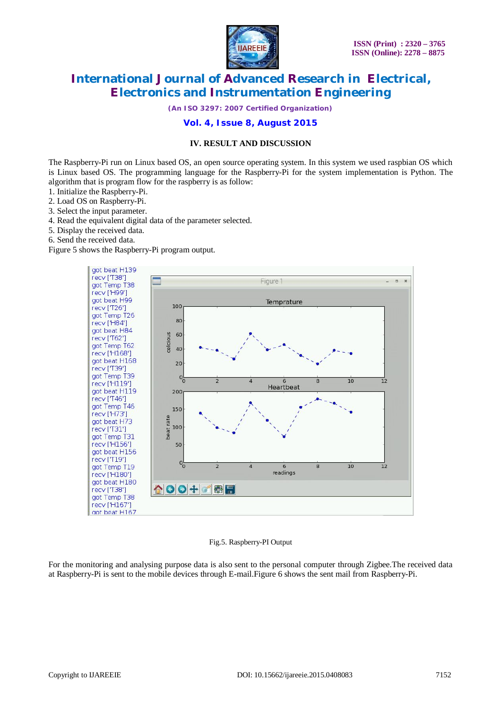

*(An ISO 3297: 2007 Certified Organization)*

# **Vol. 4, Issue 8, August 2015**

### **IV. RESULT AND DISCUSSION**

The Raspberry-Pi run on Linux based OS, an open source operating system. In this system we used raspbian OS which is Linux based OS. The programming language for the Raspberry-Pi for the system implementation is Python. The algorithm that is program flow for the raspberry is as follow:

- 1. Initialize the Raspberry-Pi.
- 2. Load OS on Raspberry-Pi.
- 3. Select the input parameter.
- 4. Read the equivalent digital data of the parameter selected.
- 5. Display the received data.
- 6. Send the received data.

Figure 5 shows the Raspberry-Pi program output.



#### Fig.5. Raspberry-PI Output

For the monitoring and analysing purpose data is also sent to the personal computer through Zigbee.The received data at Raspberry-Pi is sent to the mobile devices through E-mail.Figure 6 shows the sent mail from Raspberry-Pi.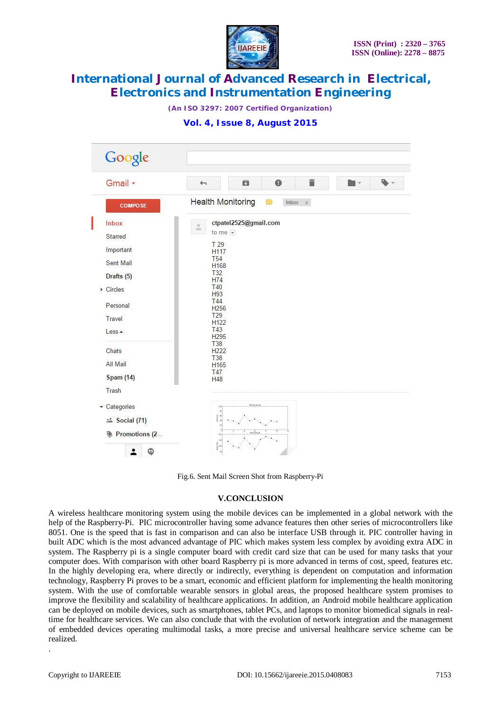

*(An ISO 3297: 2007 Certified Organization)*

### **Vol. 4, Issue 8, August 2015**

| Gmail +                  | ←          | ō                                                         | $\bullet$ | Ê       |  |
|--------------------------|------------|-----------------------------------------------------------|-----------|---------|--|
| <b>COMPOSE</b>           |            | <b>Health Monitoring</b>                                  |           | Inbox x |  |
| Inbox                    | ă.         | ctpatel2525@gmail.com                                     |           |         |  |
| Starred                  |            | to me $\overline{\mathbf{v}}$                             |           |         |  |
| Important                |            | T 29<br>H117                                              |           |         |  |
| Sent Mail                |            | <b>T54</b><br>H <sub>168</sub>                            |           |         |  |
| Drafts (5)               |            | <b>T32</b>                                                |           |         |  |
| $\triangleright$ Circles | <b>T40</b> | <b>H74</b>                                                |           |         |  |
|                          |            | H93<br><b>T44</b>                                         |           |         |  |
| Personal                 |            | H <sub>256</sub><br>T29                                   |           |         |  |
| Travel                   |            | H <sub>122</sub>                                          |           |         |  |
| Less +                   |            | T43<br>H <sub>295</sub>                                   |           |         |  |
| Chats                    |            | <b>T38</b><br>H222                                        |           |         |  |
| All Mail                 |            | <b>T38</b><br>H <sub>165</sub>                            |           |         |  |
| <b>Spam (14)</b>         |            | <b>T47</b>                                                |           |         |  |
| Trash                    |            | H48                                                       |           |         |  |
|                          |            |                                                           |           |         |  |
| Categories               |            | Bregnster<br>126                                          |           |         |  |
| <b>the Social (71)</b>   |            | $\begin{array}{c} 0.0004 \\ 0.0004 \\ 0.0004 \end{array}$ |           |         |  |

Fig.6. Sent Mail Screen Shot from Raspberry-Pi

#### **V.CONCLUSION**

A wireless healthcare monitoring system using the mobile devices can be implemented in a global network with the help of the Raspberry-Pi. PIC microcontroller having some advance features then other series of microcontrollers like 8051. One is the speed that is fast in comparison and can also be interface USB through it. PIC controller having in built ADC which is the most advanced advantage of PIC which makes system less complex by avoiding extra ADC in system. The Raspberry pi is a single computer board with credit card size that can be used for many tasks that your computer does. With comparison with other board Raspberry pi is more advanced in terms of cost, speed, features etc. In the highly developing era, where directly or indirectly, everything is dependent on computation and information technology, Raspberry Pi proves to be a smart, economic and efficient platform for implementing the health monitoring system. With the use of comfortable wearable sensors in global areas, the proposed healthcare system promises to improve the flexibility and scalability of healthcare applications. In addition, an Android mobile healthcare application can be deployed on mobile devices, such as smartphones, tablet PCs, and laptops to monitor biomedical signals in realtime for healthcare services. We can also conclude that with the evolution of network integration and the management of embedded devices operating multimodal tasks, a more precise and universal healthcare service scheme can be realized.

.